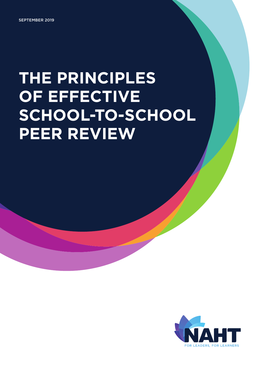SEPTEMBER 2019

# **THE PRINCIPLES OF EFFECTIVE SCHOOL-TO-SCHOOL PEER REVIEW**

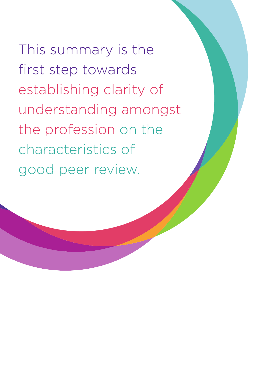This summary is the first step towards establishing clarity of understanding amongst the profession on the characteristics of good peer review.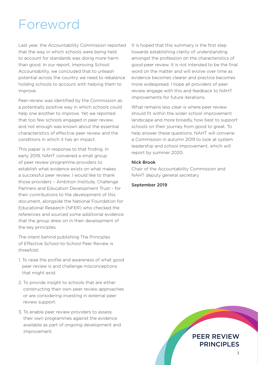### Foreword

Last year, the Accountability Commission reported that the way in which schools were being held to account for standards was doing more harm than good. In our report, Improving School Accountability, we concluded that to unleash potential across the country we need to rebalance holding schools to account with helping them to improve.

Peer review was identified by the Commission as a potentially positive way in which schools could help one another to improve. Yet we reported that too few schools engaged in peer review, and not enough was known about the essential characteristics of effective peer review and the conditions in which it has an impact.

This paper is in response to that finding. In early 2019, NAHT convened a small group of peer review programme providers to establish what evidence exists on what makes a successful peer review. I would like to thank those providers – Ambition Institute, Challenge Partners and Education Development Trust – for their contributions to the development of this document, alongside the National Foundation for Educational Research (NFER) who checked the references and sourced some additional evidence that the group drew on in their development of the key principles.

The intent behind publishing The Principles of Effective School-to-School Peer Review is threefold:

- 1. To raise the profile and awareness of what good peer review is and challenge misconceptions that might exist.
- 2. To provide insight to schools that are either constructing their own peer review approaches or are considering investing in external peer review support.
- 3. To enable peer review providers to assess their own programmes against the evidence available as part of ongoing development and improvement.

It is hoped that this summary is the first step towards establishing clarity of understanding amongst the profession on the characteristics of good peer review. It is not intended to be the final word on the matter and will evolve over time as evidence becomes clearer and practice becomes more widespread. I hope all providers of peer review engage with this and feedback to NAHT improvements for future iterations.

What remains less clear is where peer review should fit within the wider school improvement landscape and more broadly, how best to support schools on their journey from good to great. To help answer these questions, NAHT will convene a Commission in autumn 2019 to look at system leadership and school improvement, which will report by summer 2020.

#### Nick Brook

Chair of the Accountability Commission and NAHT deputy general secretary

#### September 2019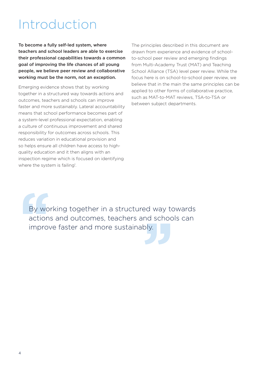### Introduction

To become a fully self-led system, where teachers and school leaders are able to exercise their professional capabilities towards a common goal of improving the life chances of all young people, we believe peer review and collaborative working must be the norm, not an exception.

Emerging evidence shows that by working together in a structured way towards actions and outcomes, teachers and schools can improve faster and more sustainably. Lateral accountability means that school performance becomes part of a system-level professional expectation, enabling a culture of continuous improvement and shared responsibility for outcomes across schools. This reduces variation in educational provision and so helps ensure all children have access to highquality education and it then aligns with an inspection regime which is focused on identifying where the system is failing<sup>1</sup>.

The principles described in this document are drawn from experience and evidence of schoolto-school peer review and emerging findings from Multi-Academy Trust (MAT) and Teaching School Alliance (TSA) level peer review. While the focus here is on school-to-school peer review, we believe that in the main the same principles can be applied to other forms of collaborative practice, such as MAT-to-MAT reviews, TSA-to-TSA or between subject departments.

By work<br>
actions<br>
improv ed way t<br>
nd scho<br>
bly. By working together in a structured way towards actions and outcomes, teachers and schools can improve faster and more sustainably.

4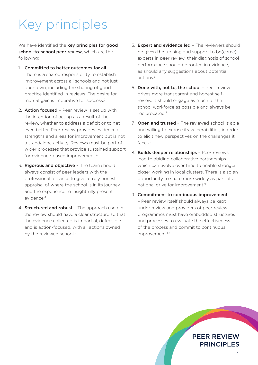## Key principles

We have identified the key principles for good school-to-school peer review, which are the following:

- 1. Committed to better outcomes for all There is a shared responsibility to establish improvement across all schools and not just one's own, including the sharing of good practice identified in reviews. The desire for mutual gain is imperative for success.2
- 2. **Action focused** Peer review is set up with the intention of acting as a result of the review, whether to address a deficit or to get even better. Peer review provides evidence of strengths and areas for improvement but is not a standalone activity. Reviews must be part of wider processes that provide sustained support for evidence-based improvement.3
- 3. Rigorous and objective The team should always consist of peer leaders with the professional distance to give a truly honest appraisal of where the school is in its journey and the experience to insightfully present evidence.4
- 4. Structured and robust The approach used in the review should have a clear structure so that the evidence collected is impartial, defensible and is action-focused, with all actions owned by the reviewed school.<sup>5</sup>
- 5. **Expert and evidence led** The reviewers should be given the training and support to be(come) experts in peer review; their diagnosis of school performance should be rooted in evidence, as should any suggestions about potential actions.6
- 6. Done with, not to, the school Peer review drives more transparent and honest selfreview. It should engage as much of the school workforce as possible and always be reciprocated.7
- 7. Open and trusted The reviewed school is able and willing to expose its vulnerabilities, in order to elicit new perspectives on the challenges it faces.8
- 8. Builds deeper relationships Peer reviews lead to abiding collaborative partnerships which can evolve over time to enable stronger. closer working in local clusters. There is also an opportunity to share more widely as part of a national drive for improvement.9
- 9. Commitment to continuous improvement – Peer review itself should always be kept under review and providers of peer review programmes must have embedded structures and processes to evaluate the effectiveness of the process and commit to continuous improvement.<sup>10</sup>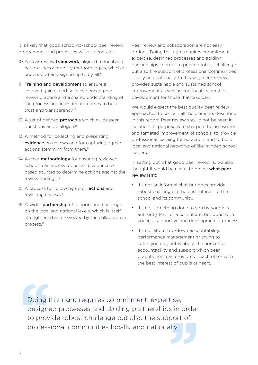It is likely that good school-to-school peer review programmes and processes will also contain:

- 10. A clear review framework, aligned to local and national accountability methodologies, which is understood and signed up to by all.<sup>11</sup>
- 11. Training and development to ensure all involved gain expertise in evidenced peer review practice and a shared understanding of the process and intended outcomes to build trust and transparency.<sup>12</sup>
- 12. A set of defined **protocols** which guide peer questions and dialogue.13
- 13. A method for collecting and presenting evidence on reviews and for capturing agreed actions stemming from them.14
- 14. A clear **methodology** for ensuring reviewed schools can access robust and evidencedbased sources to determine actions against the review findings.<sup>15</sup>
- 15. A process for following up on **actions** and revisiting reviews.16
- 16. A wider **partnership** of support and challenge on the local and national levels, which is itself strengthened and reviewed by the collaborative process.17

Peer review and collaboration are not easy options. Doing this right requires commitment, expertise, designed processes and abiding partnerships in order to provide robust challenge but also the support of professional communities locally and nationally. In this way, peer review provides sustainable and sustained school improvement as well as continual leadership development for those that take part.

We would expect the best quality peer review approaches to contain all the elements described in this report. Peer review should not be seen in isolation, its purpose is to sharpen the assessment and targeted improvement of schools, to provide professional learning for educators and to build local and national networks of like-minded school leaders.

In setting out what good peer review is, we also thought it would be useful to define what peer review isn't:

- It's not an informal chat but does provide robust challenge in the best interest of the school and its community.
- It's not something done to you by your local authority, MAT or a consultant, but done with you in a supportive and developmental process.
- It's not about top-down accountability, performance management or trying to catch you out, but is about the horizontal accountability and support which peer practitioners can provide for each other with the best interest of pupils at heart.

Doing t<br>
designe<br>
to provi<br>
profess rise,<br>s in orde<br>oort of<br>Ily. Doing this right requires commitment, expertise, designed processes and abiding partnerships in order to provide robust challenge but also the support of professional communities locally and nationally.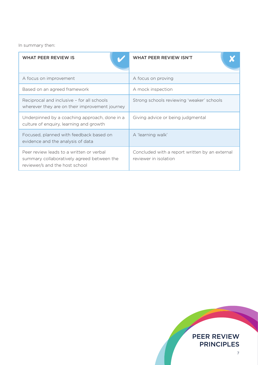In summary then:

| WHAT PEER REVIEW IS                                                                                                      | WHAT PEER REVIEW ISN'T                                                  |
|--------------------------------------------------------------------------------------------------------------------------|-------------------------------------------------------------------------|
| A focus on improvement                                                                                                   | A focus on proving                                                      |
| Based on an agreed framework                                                                                             | A mock inspection                                                       |
| Reciprocal and inclusive - for all schools<br>wherever they are on their improvement journey                             | Strong schools reviewing 'weaker' schools                               |
| Underpinned by a coaching approach, done in a<br>culture of enquiry, learning and growth                                 | Giving advice or being judgmental                                       |
| Focused, planned with feedback based on<br>evidence and the analysis of data                                             | A 'learning walk'                                                       |
| Peer review leads to a written or verbal<br>summary collaboratively agreed between the<br>reviewer/s and the host school | Concluded with a report written by an external<br>reviewer in isolation |

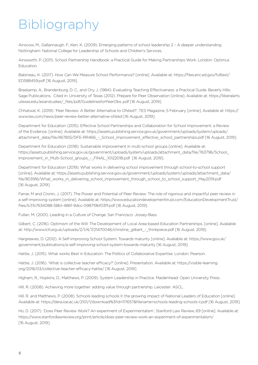## Bibliography

Ainscow, M., Gallannaugh, F., Kerr, K. (2009). Emerging patterns of school leadership 2 – A deeper understanding. Nottingham: National College for Leadership of Schools and Children's Services.

Ainsworth, P. (2011). School Partnership Handbook: a Practical Guide for Making Partnerships Work. London: Optimus Education.

Babineau, K. (2017). How Can We Measure School Performance? [online]. Available at: https://files.eric.ed.gov/fulltext/ ED588459.pdf [16 August, 2019].

Braskamp, A., Brandenburg, D. C., and Ory, J. (1984). Evaluating Teaching Effectiveness: a Practical Guide. Beverly Hills: Sage Publications. Cited in: University of Texas (2012). Prepare for Peer Observation [online]. Available at: https://liberalarts. utexas.edu/asianstudies/\_files/pdf/GuidelinesforPeerObs..pdf [16 August, 2019].

Chhatwal, K. (2019). 'Peer Review: A Better Alternative to Ofsted?', TES Magazine, 5 February [online]. Available at: https:// www.tes.com/news/peer-review-better-alternative-ofsted [16 August, 2019].

Department for Education (2015). Effective School Partnerships and Collaboration for School Improvement: a Review of the Evidence. [online]. Available at: https://assets.publishing.service.gov.uk/government/uploads/system/uploads/ attachment\_data/file/467855/DFE-RR466\_-\_School\_improvement\_effective\_school\_partnerships.pdf [16 August, 2019].

Department for Education (2018). Sustainable improvement in multi-school groups [online]. Available at: https://assets.publishing.service.gov.uk/government/uploads/system/uploads/attachment\_data/file/763796/School\_ Improvement\_in\_Multi-School\_groups\_-\_FINAL\_10122018.pdf [16 August, 2019].

Department for Education (2019). What works in delivering school improvement through school-to-school support [online]. Available at: https://assets.publishing.service.gov.uk/government/uploads/system/uploads/attachment\_data/ file/803916/What\_works\_in\_delivering\_school\_improvement\_through\_school\_to\_school\_support\_May2019.pdf [16 August, 2019].

Farrar, M and Cronin, J. (2017). The Power and Potential of Peer Review: The role of rigorous and impactful peer review in a self-improving system [online]. Available at: https://www.educationdevelopmenttrust.com/EducationDevelopmentTrust/ files/b7/b7634088-58b1-486f-9dcc-098719bf03ff.pdf [16 August, 2019].

Fullan, M. (2001). Leading in a Culture of Change. San Francisco: Jossey-Bass.

Gilbert, C. (2016). Optimism of the Will: The Development of Local Area-based Education Partnerships. [online]. Available at: http://www.lcll.org.uk/uploads/2/1/4/7/21470046/christine\_gilbert\_-\_thinkpiece.pdf [16 August, 2019].

Hargreaves, D. (2012). A Self-improving School System: Towards maturity [online]. Available at: https://www.gov.uk/ government/publications/a-self-improving-school-system-towards-maturity [16 August, 2019].

Hattie, J. (2015). What works Best in Education: The Politics of Collaborative Expertise. London: Pearson.

Hattie, J. (2016). 'What is collective teacher efficacy?' [online]. Presentation. Available at: https://visible-learning. org/2018/03/collective-teacher-efficacy-hattie/ [16 August, 2019].

Higham, R., Hopkins, D., Matthews, P. (2009). System Leadership in Practice. Maidenhead: Open University Press.

Hill, R. (2008). Achieving more together: adding value through partnership. Leicester: ASCL.

Hill, R. and Matthews, P. (2008). Schools leading schools II: the growing impact of National Leaders of Education [online]. Available at: https://dera.ioe.ac.uk/2101/1/download%3fid=117657&filename=schools-leading-schools-ii.pdf [16 August, 2019].

Ho, D. (2017). 'Does Peer Review Work? An experiment of Experimentalism', Stanford Law Review, 69 [online]. Available at: https://www.stanfordlawreview.org/print/article/does-peer-review-work-an-experiment-of-experimentalism/ [16 August, 2019].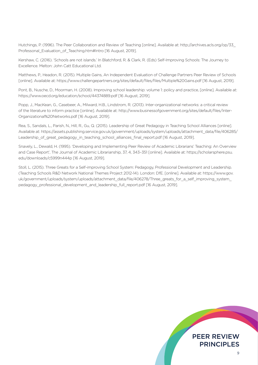Hutchings, P. (1996). The Peer Collaboration and Review of Teaching [online]. Available at: http://archives.acls.org/op/33\_ Professonal Evaluation of Teaching.htm#Intro [16 August, 2019].

Kershaw, C. (2016). 'Schools are not islands.' In Blatchford, R. & Clark, R. (Eds) Self-Improving Schools: The Journey to Excellence. Melton: John Catt Educational Ltd.

Matthews, P., Headon, R. (2015). Multiple Gains, An Independent Evaluation of Challenge Partners Peer Review of Schools [online]. Available at: https://www.challengepartners.org/sites/default/files/files/Multiple%20Gains.pdf [16 August, 2019].

Pont, B., Nusche, D., Moorman, H. (2008). Improving school leadership: volume 1: policy and practice, [online]. Available at: https://www.oecd.org/education/school/44374889.pdf [16 August, 2019].

Popp, J., MacKean, G., Casebeer, A., Milward, H.B., Lindstrom, R. (2013). Inter-organizational networks: a critical review of the literature to inform practice [online]. Available at: http://www.businessofgovernment.org/sites/default/files/Inter-Organizational%20Networks.pdf [16 August, 2019].

Rea, S., Sandals, L., Parish, N., Hill, R., Gu, Q. (2015). Leadership of Great Pedagogy in Teaching School Alliances [online]. Available at: https://assets.publishing.service.gov.uk/government/uploads/system/uploads/attachment\_data/file/406285/ Leadership\_of\_great\_pedagogy\_in\_teaching\_school\_alliances\_final\_report.pdf [16 August, 2019].

Snavely, L., Dewald, H. (1995). 'Developing and Implementing Peer Review of Academic Librarians' Teaching: An Overview and Case Report', The Journal of Academic Librarianship, 37, 4, 343–351 [online]. Available at: https://scholarsphere.psu. edu/downloads/c5999n444p [16 August, 2019].

Stoll, L. (2015). Three Greats for a Self-improving School System: Pedagogy, Professional Development and Leadership. (Teaching Schools R&D Network National Themes Project 2012-14). London: DfE. [online]. Available at: https://www.gov. uk/government/uploads/system/uploads/attachment\_data/file/406278/Three\_greats\_for\_a\_self\_improving\_system pedagogy\_professional\_development\_and\_leadership\_full\_report.pdf [16 August, 2019].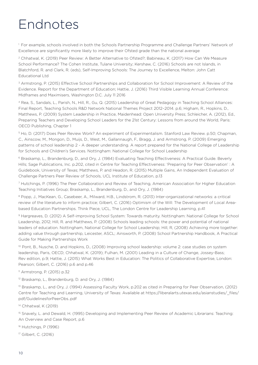## Endnotes

1 For example, schools involved in both the Schools Partnership Programme and Challenge Partners' Network of Excellence are significantly more likely to improve their Ofsted grade than the national average

2 Chhatwal, K. (2019) Peer Review: A Better Alternative to Ofsted?; Babineau, K. (2017) How Can We Measure School Performance? The Cohen Institute, Tulane University; Kershaw, C. (2016) Schools are not Islands, in Blatchford, R. and Clark, R. (eds), Self-Improving Schools: The Journey to Excellence, Melton: John Catt Educational Ltd

3 Armstrong, P. (2015) Effective School Partnerships and Collaboration for School Improvement: A Review of the Evidence. Report for the Department of Education; Hattie, J. (2016) Third Visible Learning Annual Conference: Midframes and Maximisers, Washington D.C. July 11 2016

4 Rea, S., Sandals, L., Parish, N., Hill, R., Gu, Q. (2015) Leadership of Great Pedagogy in Teaching School Alliances: Final Report, Teaching Schools R&D Network National Themes Project 2012–2014. p.6; Higham, R., Hopkins, D., Matthews, P. (2009) System Leadership in Practice, Maidenhead: Open University Press; Schleicher, A. (2012), Ed., Preparing Teachers and Developing School Leaders for the 21st Century: Lessons from around the World, Paris: OECD Publishing, Chapter 1

5 Ho, D. (2017) Does Peer Review Work? An experiment of Experimentalism. Stanford Law Review. p.50; Chapman, C., Ainscow, M., Mongon, D., Muijs, D., West, M., Gallannaugh, F., Bragg, J. and Armstrong, P. (2009) Emerging patterns of school leadership 2 - A deeper understanding. A report prepared for the National College of Leadership for Schools and Children's Services. Nottingham: National College for School Leadership

6 Braskamp, L., Brandenburg, D., and Ory, J. (1984) Evaluating Teaching Effectiveness: A Practical Guide. Beverly Hills; Sage Publications, Inc. p.202, cited in Centre for Teaching Effectiveness: 'Preparing for Peer Observation' : A Guidebook, University of Texas; Matthews, P. and Headon, R. (2015) Multiple Gains, An Independent Evaluation of Challenge Partners Peer Review of Schools, UCL Institute of Education, p.13

7 Hutchings, P. (1996) The Peer Collaboration and Review of Teaching, American Association for Higher Education Teaching Initiatives Group; Braskamp, L., Brandenburg, D., and Ory, J. (1984)

8 Popp, J., MacKean, G., Casebeer, A., Milward, H.B., Lindstrom, R. (2013) Inter-organizational networks: a critical review of the literature to inform practice; Gilbert, C. (2016) Optimism of the Will: The Development of Local Areabased Education Partnerships. Think Piece, UCL, The London Centre for Leadership Learning, p.41

9 Hargreaves, D. (2012) A Self-improving School System: Towards maturity. Nottingham: National College for School Leadership, 2012; Hill, R. and Matthews, P. (2008) Schools leading schools: the power and potential of national leaders of education. Nottingham, National College for School Leadership; Hill, R, (2008) Achieving more together: adding value through partnership, Leicester, ASCL; Ainsworth, P. (2008) School Partnership Handbook, A Practical Guide for Making Partnerships Work

10 Pont, B., Nusche, D. and Hopkins, D., (2008) Improving school leadership: volume 2: case studies on system leadership, Paris, OECD; Chhatwal, K. (2019); Fulhan, M. (2001) Leading in a Culture of Change, Jossey-Bass; Rev edition, p.9; Hattie, J. (2015) What Works Best in Education: The Politics of Collaborative Expertise, London: Pearson; Gilbert, C. (2016) p.6 and p.46

11 Armstrong, P. (2015) p.32

12 Braskamp, L., Brandenburg, D. and Ory, J. (1984)

<sup>13</sup> Braskamp, L., and Ory, J. (1994) Assessing Faculty Work, p.202 as cited in Preparing for Peer Observation, (2012) Centre for Teaching and Learning, University of Texas: Available at https://liberalarts.utexas.edu/asianstudies/\_files/ pdf/GuidelinesforPeerObs..pdf

<sup>14</sup> Chhatwal, K (2019)

15 Snavely, L. and Dewald, H. (1995) Developing and Implementing Peer Review of Academic Librarians: Teaching: An Overview and Case Report, p.6

16 Hutchings, P (1996)

17 Gilbert, C. (2016)